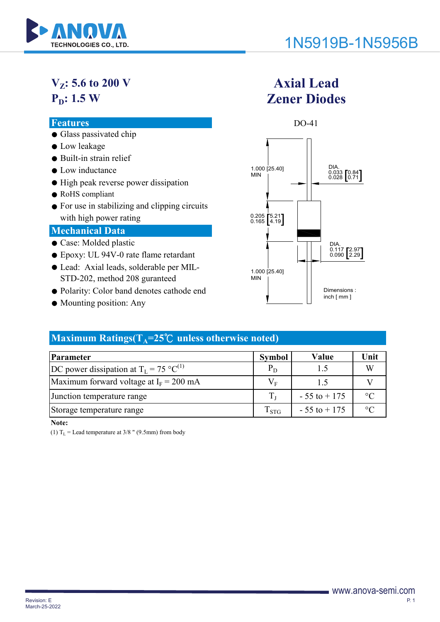

# **V<sub>z</sub>: 5.6 to 200 V**

## **P<sub>D</sub>: 1.5 W**

- Glass passivated chip
- Low leakage
- Built-in strain relief
- Low inductance
- High peak reverse power dissipation
- RoHS compliant
- For use in stabilizing and clipping circuits with high power rating

#### **Mechanical Data**

- Case: Molded plastic
- Epoxy: UL 94V-0 rate flame retardant
- Lead: Axial leads, solderable per MIL-STD-202, method 208 guranteed
- Polarity: Color band denotes cathode end
- Mounting position: Any

## **Axial Lead Zener Diodes**



### **Maximum Ratings(** $T_A = 25^\circ\text{C}$  **unless otherwise noted)**

| Parameter                                           | <b>Symbol</b>      | Value           | Unit    |
|-----------------------------------------------------|--------------------|-----------------|---------|
| DC power dissipation at $T_L = 75 \text{ °C}^{(1)}$ | $P_D$              | 1.5             |         |
| Maximum forward voltage at $I_F = 200$ mA           | $V_{E}$            | 15              |         |
| Junction temperature range                          |                    | $-55$ to $+175$ | $\circ$ |
| Storage temperature range                           | $\mathrm{T_{STG}}$ | $-55$ to $+175$ | $\circ$ |

**Note:**

(1)  $T_L$  = Lead temperature at 3/8 " (9.5mm) from body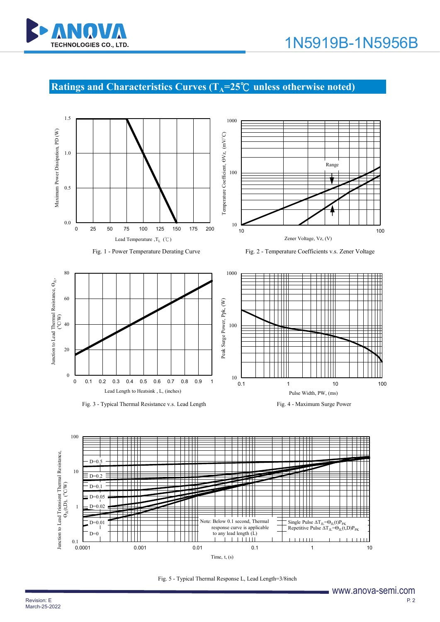

## **Ratings and Characteristics Curves (T<sub>A</sub>=25℃ unless otherwise noted)**







Fig. 1 - Power Temperature Derating Curve Fig. 2 - Temperature Coefficients v.s. Zener Voltage



Fig. 3 - Typical Thermal Resistance v.s. Lead Length Fig. 4 - Maximum Surge Power





Fig. 5 - Typical Thermal Response L, Lead Length=3/8inch